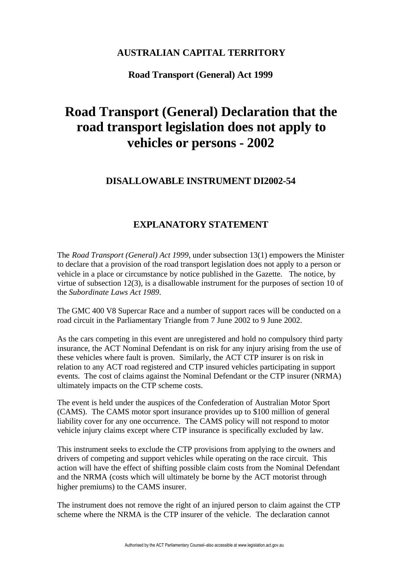## **AUSTRALIAN CAPITAL TERRITORY**

#### **Road Transport (General) Act 1999**

# **Road Transport (General) Declaration that the road transport legislation does not apply to vehicles or persons - 2002**

### **DISALLOWABLE INSTRUMENT DI2002-54**

### **EXPLANATORY STATEMENT**

The *Road Transport (General) Act 1999*, under subsection 13(1) empowers the Minister to declare that a provision of the road transport legislation does not apply to a person or vehicle in a place or circumstance by notice published in the Gazette. The notice, by virtue of subsection 12(3), is a disallowable instrument for the purposes of section 10 of the *Subordinate Laws Act 1989*.

The GMC 400 V8 Supercar Race and a number of support races will be conducted on a road circuit in the Parliamentary Triangle from 7 June 2002 to 9 June 2002.

As the cars competing in this event are unregistered and hold no compulsory third party insurance, the ACT Nominal Defendant is on risk for any injury arising from the use of these vehicles where fault is proven. Similarly, the ACT CTP insurer is on risk in relation to any ACT road registered and CTP insured vehicles participating in support events. The cost of claims against the Nominal Defendant or the CTP insurer (NRMA) ultimately impacts on the CTP scheme costs.

The event is held under the auspices of the Confederation of Australian Motor Sport (CAMS). The CAMS motor sport insurance provides up to \$100 million of general liability cover for any one occurrence. The CAMS policy will not respond to motor vehicle injury claims except where CTP insurance is specifically excluded by law.

This instrument seeks to exclude the CTP provisions from applying to the owners and drivers of competing and support vehicles while operating on the race circuit. This action will have the effect of shifting possible claim costs from the Nominal Defendant and the NRMA (costs which will ultimately be borne by the ACT motorist through higher premiums) to the CAMS insurer.

The instrument does not remove the right of an injured person to claim against the CTP scheme where the NRMA is the CTP insurer of the vehicle. The declaration cannot